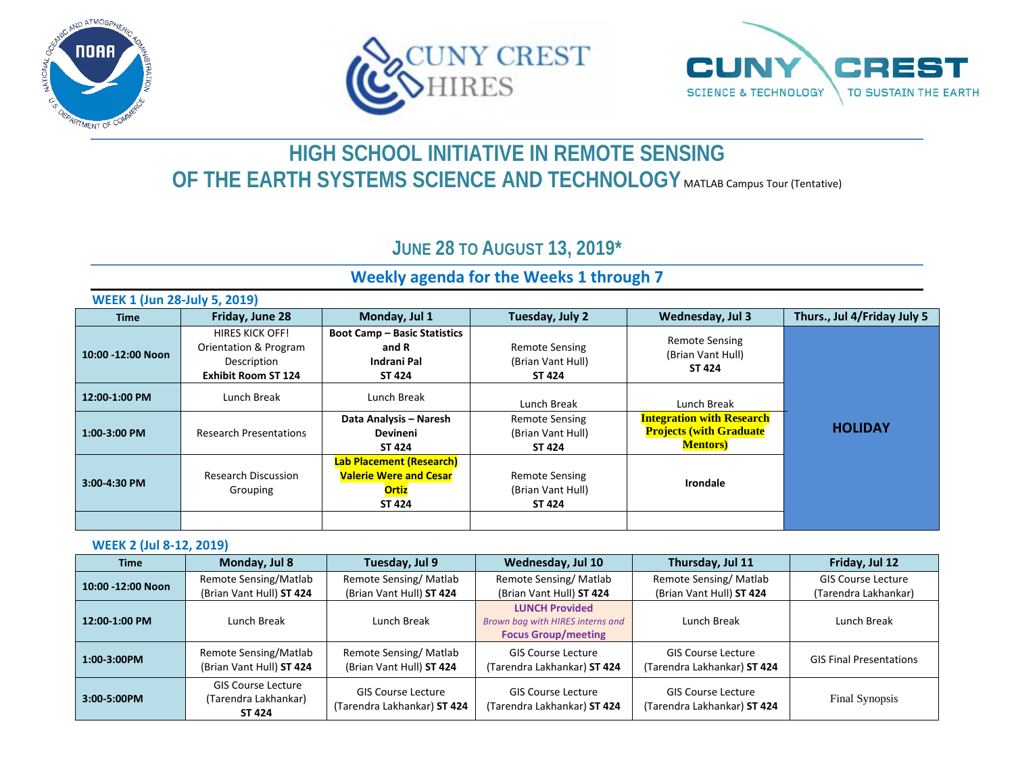





# **HIGH SCHOOL INITIATIVE IN REMOTE SENSING OF THE EARTH SYSTEMS SCIENCE AND TECHNOLOGY MATLAB Campus Tour (Tentative)**

## **JUNE 28 TO AUGUST 13, 2019\***

### **Weekly agenda for the Weeks 1 through 7**

| <b>WEEK 1 (Jun 28-July 5, 2019)</b> |                                                                                              |                                                                                                   |                                                             |                                                                                         |                             |
|-------------------------------------|----------------------------------------------------------------------------------------------|---------------------------------------------------------------------------------------------------|-------------------------------------------------------------|-----------------------------------------------------------------------------------------|-----------------------------|
| <b>Time</b>                         | Friday, June 28                                                                              | Monday, Jul 1                                                                                     | Tuesday, July 2                                             | <b>Wednesday, Jul 3</b>                                                                 | Thurs., Jul 4/Friday July 5 |
| 10:00 -12:00 Noon                   | <b>HIRES KICK OFF!</b><br>Orientation & Program<br>Description<br><b>Exhibit Room ST 124</b> | <b>Boot Camp - Basic Statistics</b><br>and R<br>Indrani Pal<br>ST 424                             | <b>Remote Sensing</b><br>(Brian Vant Hull)<br><b>ST 424</b> | <b>Remote Sensing</b><br>(Brian Vant Hull)<br>ST 424                                    |                             |
| 12:00-1:00 PM                       | Lunch Break                                                                                  | Lunch Break                                                                                       | Lunch Break                                                 | Lunch Break                                                                             |                             |
| 1:00-3:00 PM                        | <b>Research Presentations</b>                                                                | Data Analysis - Naresh<br><b>Devineni</b><br>ST 424                                               | <b>Remote Sensing</b><br>(Brian Vant Hull)<br>ST 424        | <b>Integration with Research</b><br><b>Projects (with Graduate)</b><br><b>Mentors</b> ) | <b>HOLIDAY</b>              |
| 3:00-4:30 PM                        | <b>Research Discussion</b><br>Grouping                                                       | <b>Lab Placement (Research)</b><br><b>Valerie Were and Cesar</b><br><b>Ortiz</b><br><b>ST 424</b> | <b>Remote Sensing</b><br>(Brian Vant Hull)<br>ST 424        | Irondale                                                                                |                             |
|                                     |                                                                                              |                                                                                                   |                                                             |                                                                                         |                             |

#### **WEEK 2 (Jul 8-12, 2019)**

| <b>Time</b>       | Monday, Jul 8                                               | Tuesday, Jul 9                                           | Wednesday, Jul 10                                                                       | Thursday, Jul 11                                         | Friday, Jul 12                                    |
|-------------------|-------------------------------------------------------------|----------------------------------------------------------|-----------------------------------------------------------------------------------------|----------------------------------------------------------|---------------------------------------------------|
| 10:00 -12:00 Noon | Remote Sensing/Matlab<br>(Brian Vant Hull) ST 424           | Remote Sensing/Matlab<br>(Brian Vant Hull) ST 424        | Remote Sensing/Matlab<br>(Brian Vant Hull) ST 424                                       | Remote Sensing/Matlab<br>(Brian Vant Hull) ST 424        | <b>GIS Course Lecture</b><br>(Tarendra Lakhankar) |
| 12:00-1:00 PM     | Lunch Break                                                 | Lunch Break                                              | <b>LUNCH Provided</b><br>Brown bag with HIRES interns and<br><b>Focus Group/meeting</b> | Lunch Break                                              | Lunch Break                                       |
| $1:00-3:00PM$     | Remote Sensing/Matlab<br>(Brian Vant Hull) ST 424           | Remote Sensing/Matlab<br>(Brian Vant Hull) ST 424        | <b>GIS Course Lecture</b><br>(Tarendra Lakhankar) ST 424                                | <b>GIS Course Lecture</b><br>(Tarendra Lakhankar) ST 424 | <b>GIS Final Presentations</b>                    |
| 3:00-5:00PM       | <b>GIS Course Lecture</b><br>(Tarendra Lakhankar)<br>ST 424 | <b>GIS Course Lecture</b><br>(Tarendra Lakhankar) ST 424 | <b>GIS Course Lecture</b><br>(Tarendra Lakhankar) ST 424                                | <b>GIS Course Lecture</b><br>(Tarendra Lakhankar) ST 424 | Final Synopsis                                    |